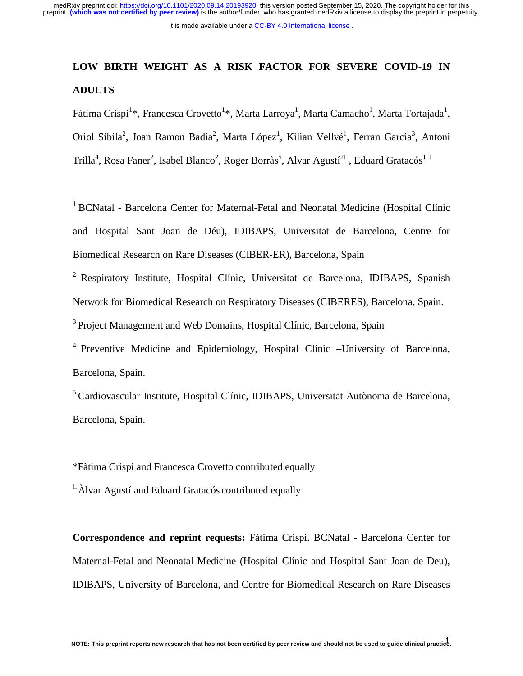# **LOW BIRTH WEIGHT AS A RISK FACTOR FOR SEVERE COVID-19 IN ADULTS**

Fàtima Crispi<sup>1</sup>\*, Francesca Crovetto<sup>1</sup>\*, Marta Larroya<sup>1</sup>, Marta Camacho<sup>1</sup>, Marta Tortajada<sup>1</sup>, Oriol Sibila<sup>2</sup>, Joan Ramon Badia<sup>2</sup>, Marta López<sup>1</sup>, Kilian Vellvé<sup>1</sup>, Ferran Garcia<sup>3</sup>, Antoni Trilla<sup>4</sup>, Rosa Faner<sup>2</sup>, Isabel Blanco<sup>2</sup>, Roger Borràs<sup>5</sup>, Alvar Agustí<sup>20</sup>, Eduard Gratacós<sup>10</sup>

<sup>1</sup> BCNatal - Barcelona Center for Maternal-Fetal and Neonatal Medicine (Hospital Clínic and Hospital Sant Joan de Déu), IDIBAPS, Universitat de Barcelona, Centre for Biomedical Research on Rare Diseases (CIBER-ER), Barcelona, Spain

2 Respiratory Institute, Hospital Clínic, Universitat de Barcelona, IDIBAPS, Spanish Network for Biomedical Research on Respiratory Diseases (CIBERES), Barcelona, Spain. <sup>3</sup> Project Management and Web Domains, Hospital Clínic, Barcelona, Spain

4 Preventive Medicine and Epidemiology, Hospital Clínic –University of Barcelona, Barcelona, Spain.

5 Cardiovascular Institute, Hospital Clínic, IDIBAPS, Universitat Autònoma de Barcelona, Barcelona, Spain.

\*Fàtima Crispi and Francesca Crovetto contributed equally

 $\Delta$ lvar Agustí and Eduard Gratacós contributed equally

**Correspondence and reprint requests:** Fàtima Crispi. BCNatal - Barcelona Center for Maternal-Fetal and Neonatal Medicine (Hospital Clínic and Hospital Sant Joan de Deu), IDIBAPS, University of Barcelona, and Centre for Biomedical Research on Rare Diseases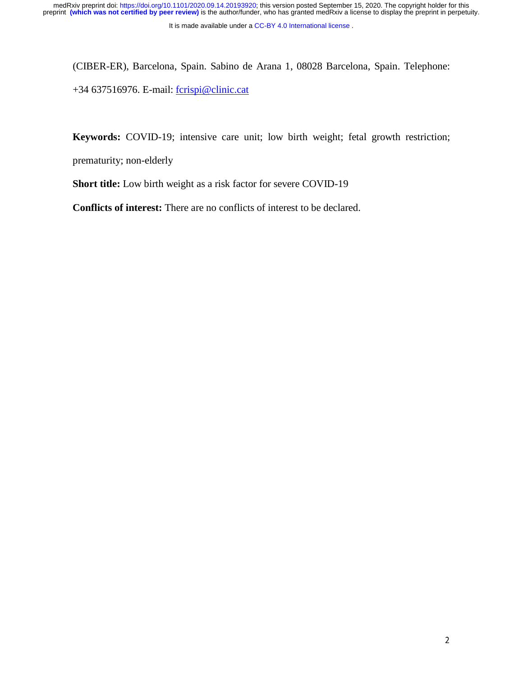(CIBER-ER), Barcelona, Spain. Sabino de Arana 1, 08028 Barcelona, Spain. Telephone: +34 637516976. E-mail: fcrispi@clinic.cat

**Keywords:** COVID-19; intensive care unit; low birth weight; fetal growth restriction;

prematurity; non-elderly

**Short title:** Low birth weight as a risk factor for severe COVID-19

**Conflicts of interest:** There are no conflicts of interest to be declared.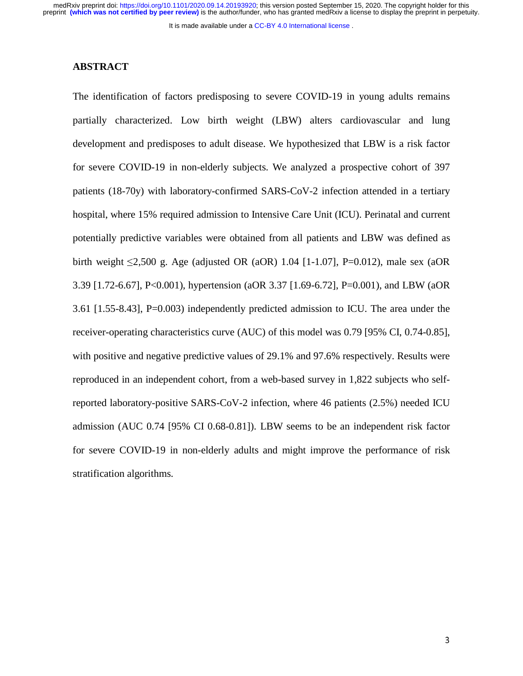It is made available under a CC-BY 4.0 International license.

#### **ABSTRACT**

The identification of factors predisposing to severe COVID-19 in young adults remains partially characterized. Low birth weight (LBW) alters cardiovascular and lung development and predisposes to adult disease. We hypothesized that LBW is a risk factor for severe COVID-19 in non-elderly subjects. We analyzed a prospective cohort of 397 patients (18-70y) with laboratory-confirmed SARS-CoV-2 infection attended in a tertiary hospital, where 15% required admission to Intensive Care Unit (ICU). Perinatal and current potentially predictive variables were obtained from all patients and LBW was defined as birth weight  $\leq 2,500$  g. Age (adjusted OR (aOR) 1.04 [1-1.07], P=0.012), male sex (aOR 3.39 [1.72-6.67], P<0.001), hypertension (aOR 3.37 [1.69-6.72], P=0.001), and LBW (aOR 3.61 [1.55-8.43], P=0.003) independently predicted admission to ICU. The area under the receiver-operating characteristics curve (AUC) of this model was 0.79 [95% CI, 0.74-0.85], with positive and negative predictive values of 29.1% and 97.6% respectively. Results were reproduced in an independent cohort, from a web-based survey in 1,822 subjects who selfreported laboratory-positive SARS-CoV-2 infection, where 46 patients (2.5%) needed ICU admission (AUC 0.74 [95% CI 0.68-0.81]). LBW seems to be an independent risk factor for severe COVID-19 in non-elderly adults and might improve the performance of risk stratification algorithms.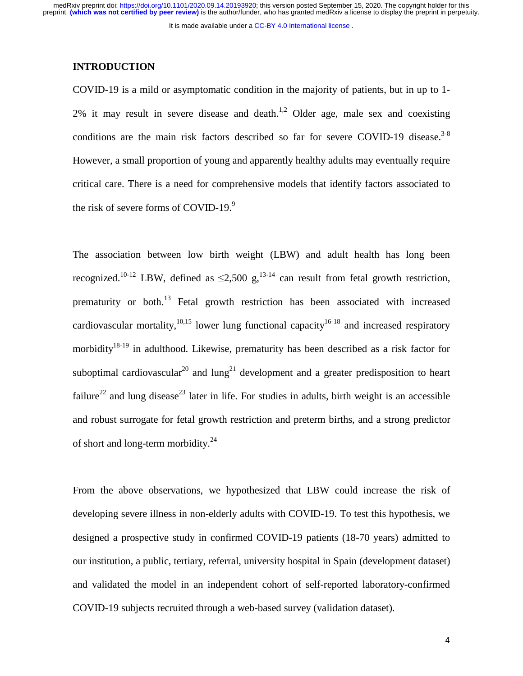#### **INTRODUCTION**

COVID-19 is a mild or asymptomatic condition in the majority of patients, but in up to 1-  $2\%$  it may result in severe disease and death.<sup>1,2</sup> Older age, male sex and coexisting conditions are the main risk factors described so far for severe COVID-19 disease.<sup>3-8</sup> However, a small proportion of young and apparently healthy adults may eventually require critical care. There is a need for comprehensive models that identify factors associated to the risk of severe forms of COVID-19. $9$ 

The association between low birth weight (LBW) and adult health has long been recognized.<sup>10-12</sup> LBW, defined as  $\leq 2,500$  g,<sup>13-14</sup> can result from fetal growth restriction, prematurity or both.13 Fetal growth restriction has been associated with increased cardiovascular mortality,<sup>10,15</sup> lower lung functional capacity<sup>16-18</sup> and increased respiratory morbidity<sup>18-19</sup> in adulthood. Likewise, prematurity has been described as a risk factor for suboptimal cardiovascular<sup>20</sup> and  $\text{lung}^{21}$  development and a greater predisposition to heart failure<sup>22</sup> and lung disease<sup>23</sup> later in life. For studies in adults, birth weight is an accessible and robust surrogate for fetal growth restriction and preterm births, and a strong predictor of short and long-term morbidity.<sup>24</sup>

From the above observations, we hypothesized that LBW could increase the risk of developing severe illness in non-elderly adults with COVID-19. To test this hypothesis, we designed a prospective study in confirmed COVID-19 patients (18-70 years) admitted to our institution, a public, tertiary, referral, university hospital in Spain (development dataset) and validated the model in an independent cohort of self-reported laboratory-confirmed COVID-19 subjects recruited through a web-based survey (validation dataset).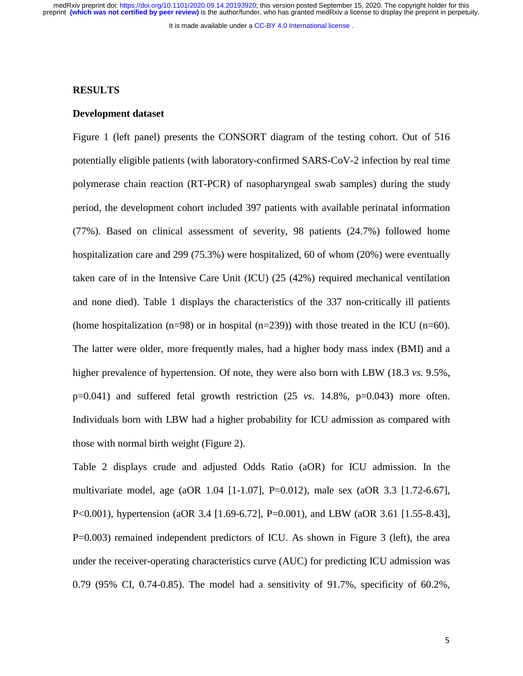preprint **(which was not certified by peer review)** is the author/funder, who has granted medRxiv a license to display the preprint in perpetuity. medRxiv preprint doi: [https://doi.org/10.1101/2020.09.14.20193920;](https://doi.org/10.1101/2020.09.14.20193920) this version posted September 15, 2020. The copyright holder for this

It is made available under a CC-BY 4.0 International license.

#### **RESULTS**

#### **Development dataset**

Figure 1 (left panel) presents the CONSORT diagram of the testing cohort. Out of 516 potentially eligible patients (with laboratory-confirmed SARS-CoV-2 infection by real time polymerase chain reaction (RT-PCR) of nasopharyngeal swab samples) during the study period, the development cohort included 397 patients with available perinatal information (77%). Based on clinical assessment of severity, 98 patients (24.7%) followed home hospitalization care and 299 (75.3%) were hospitalized, 60 of whom (20%) were eventually taken care of in the Intensive Care Unit (ICU) (25 (42%) required mechanical ventilation and none died). Table 1 displays the characteristics of the 337 non-critically ill patients (home hospitalization  $(n=98)$  or in hospital  $(n=239)$ ) with those treated in the ICU  $(n=60)$ . The latter were older, more frequently males, had a higher body mass index (BMI) and a higher prevalence of hypertension. Of note, they were also born with LBW (18.3 *vs.* 9.5%,  $p=0.041$ ) and suffered fetal growth restriction  $(25 \text{ vs. } 14.8\%$ ,  $p=0.043)$  more often. Individuals born with LBW had a higher probability for ICU admission as compared with those with normal birth weight (Figure 2).

Table 2 displays crude and adjusted Odds Ratio (aOR) for ICU admission. In the multivariate model, age (aOR 1.04 [1-1.07], P=0.012), male sex (aOR 3.3 [1.72-6.67], P<0.001), hypertension (aOR 3.4 [1.69-6.72], P=0.001), and LBW (aOR 3.61 [1.55-8.43], P=0.003) remained independent predictors of ICU. As shown in Figure 3 (left), the area under the receiver-operating characteristics curve (AUC) for predicting ICU admission was 0.79 (95% CI, 0.74-0.85). The model had a sensitivity of 91.7%, specificity of 60.2%,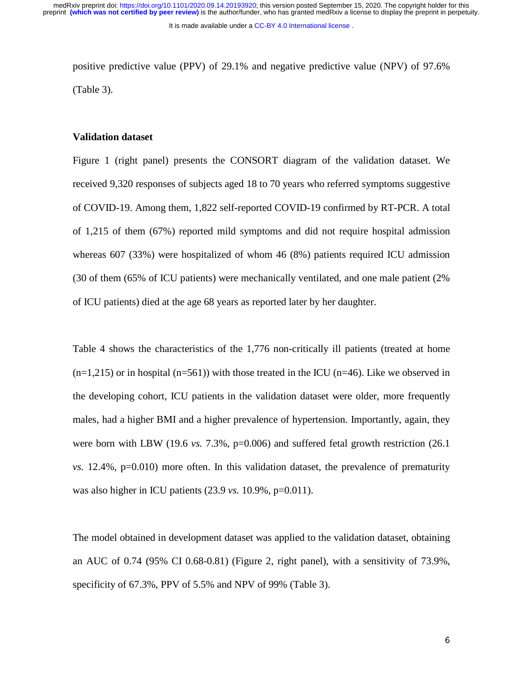positive predictive value (PPV) of 29.1% and negative predictive value (NPV) of 97.6% (Table 3).

# **Validation dataset**

Figure 1 (right panel) presents the CONSORT diagram of the validation dataset. We received 9,320 responses of subjects aged 18 to 70 years who referred symptoms suggestive of COVID-19. Among them, 1,822 self-reported COVID-19 confirmed by RT-PCR. A total of 1,215 of them (67%) reported mild symptoms and did not require hospital admission whereas 607 (33%) were hospitalized of whom 46 (8%) patients required ICU admission (30 of them (65% of ICU patients) were mechanically ventilated, and one male patient (2% of ICU patients) died at the age 68 years as reported later by her daughter.

Table 4 shows the characteristics of the 1,776 non-critically ill patients (treated at home  $(n=1,215)$  or in hospital  $(n=561)$ ) with those treated in the ICU  $(n=46)$ . Like we observed in the developing cohort, ICU patients in the validation dataset were older, more frequently males, had a higher BMI and a higher prevalence of hypertension. Importantly, again, they were born with LBW (19.6 *vs.* 7.3%, p=0.006) and suffered fetal growth restriction (26.1) *vs.* 12.4%, p=0.010) more often. In this validation dataset, the prevalence of prematurity was also higher in ICU patients (23.9 *vs.* 10.9%, p=0.011).

The model obtained in development dataset was applied to the validation dataset, obtaining an AUC of 0.74 (95% CI 0.68-0.81) (Figure 2, right panel), with a sensitivity of 73.9%, specificity of 67.3%, PPV of 5.5% and NPV of 99% (Table 3).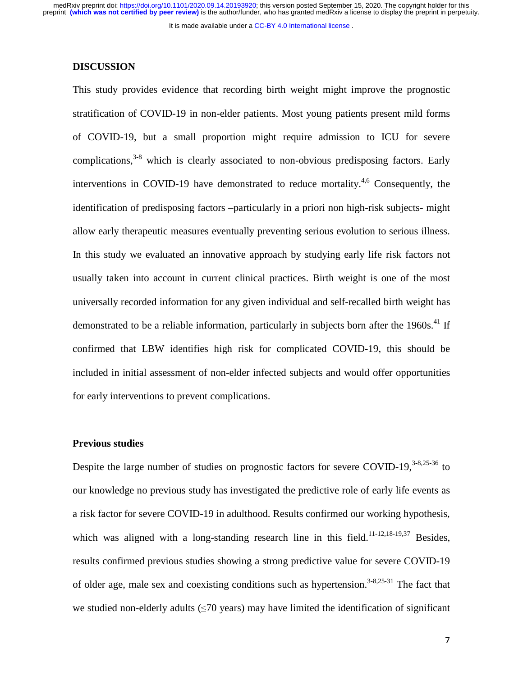It is made available under a CC-BY 4.0 International license.

### **DISCUSSION**

This study provides evidence that recording birth weight might improve the prognostic stratification of COVID-19 in non-elder patients. Most young patients present mild forms of COVID-19, but a small proportion might require admission to ICU for severe complications, $3-8$  which is clearly associated to non-obvious predisposing factors. Early interventions in COVID-19 have demonstrated to reduce mortality.<sup>4,6</sup> Consequently, the identification of predisposing factors –particularly in a priori non high-risk subjects- might allow early therapeutic measures eventually preventing serious evolution to serious illness. In this study we evaluated an innovative approach by studying early life risk factors not usually taken into account in current clinical practices. Birth weight is one of the most universally recorded information for any given individual and self-recalled birth weight has demonstrated to be a reliable information, particularly in subjects born after the  $1960s$ .<sup>41</sup> If confirmed that LBW identifies high risk for complicated COVID-19, this should be included in initial assessment of non-elder infected subjects and would offer opportunities for early interventions to prevent complications.

#### **Previous studies**

Despite the large number of studies on prognostic factors for severe COVID-19. $3-8,25-36$  to our knowledge no previous study has investigated the predictive role of early life events as a risk factor for severe COVID-19 in adulthood. Results confirmed our working hypothesis, which was aligned with a long-standing research line in this field.<sup>11-12,18-19,37</sup> Besides, results confirmed previous studies showing a strong predictive value for severe COVID-19 of older age, male sex and coexisting conditions such as hypertension.<sup>3-8,25-31</sup> The fact that we studied non-elderly adults  $(\leq 70 \text{ years})$  may have limited the identification of significant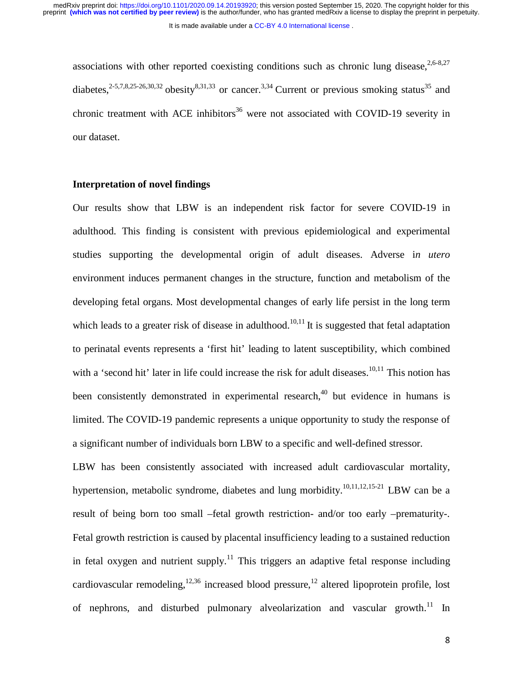associations with other reported coexisting conditions such as chronic lung disease,  $2.6-8.27$ diabetes,<sup>2-5,7,8,25-26,30,32</sup> obesity<sup>8,31,33</sup> or cancer.<sup>3,34</sup> Current or previous smoking status<sup>35</sup> and chronic treatment with ACE inhibitors<sup>36</sup> were not associated with COVID-19 severity in our dataset.

# **Interpretation of novel findings**

Our results show that LBW is an independent risk factor for severe COVID-19 in adulthood. This finding is consistent with previous epidemiological and experimental studies supporting the developmental origin of adult diseases. Adverse i*n utero* environment induces permanent changes in the structure, function and metabolism of the developing fetal organs. Most developmental changes of early life persist in the long term which leads to a greater risk of disease in adulthood.<sup>10,11</sup> It is suggested that fetal adaptation to perinatal events represents a 'first hit' leading to latent susceptibility, which combined with a 'second hit' later in life could increase the risk for adult diseases.<sup>10,11</sup> This notion has been consistently demonstrated in experimental research,  $40$  but evidence in humans is limited. The COVID-19 pandemic represents a unique opportunity to study the response of a significant number of individuals born LBW to a specific and well-defined stressor.

LBW has been consistently associated with increased adult cardiovascular mortality, hypertension, metabolic syndrome, diabetes and lung morbidity.<sup>10,11,12,15-21</sup> LBW can be a result of being born too small –fetal growth restriction- and/or too early –prematurity-. Fetal growth restriction is caused by placental insufficiency leading to a sustained reduction in fetal oxygen and nutrient supply.<sup>11</sup> This triggers an adaptive fetal response including cardiovascular remodeling,  $12,36$  increased blood pressure,  $12$  altered lipoprotein profile, lost of nephrons, and disturbed pulmonary alveolarization and vascular growth.<sup>11</sup> In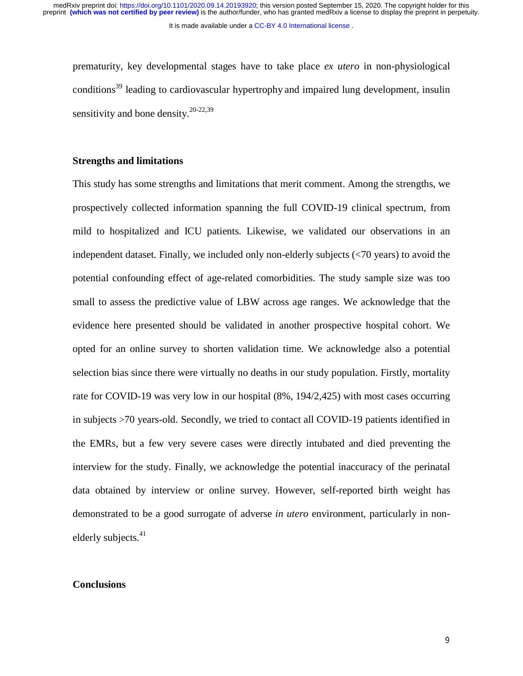prematurity, key developmental stages have to take place *ex utero* in non-physiological conditions<sup>39</sup> leading to cardiovascular hypertrophy and impaired lung development, insulin sensitivity and bone density.<sup>20-22,39</sup>

#### **Strengths and limitations**

This study has some strengths and limitations that merit comment. Among the strengths, we prospectively collected information spanning the full COVID-19 clinical spectrum, from mild to hospitalized and ICU patients. Likewise, we validated our observations in an independent dataset. Finally, we included only non-elderly subjects (<70 years) to avoid the potential confounding effect of age-related comorbidities. The study sample size was too small to assess the predictive value of LBW across age ranges. We acknowledge that the evidence here presented should be validated in another prospective hospital cohort. We opted for an online survey to shorten validation time. We acknowledge also a potential selection bias since there were virtually no deaths in our study population. Firstly, mortality rate for COVID-19 was very low in our hospital (8%, 194/2,425) with most cases occurring in subjects >70 years-old. Secondly, we tried to contact all COVID-19 patients identified in the EMRs, but a few very severe cases were directly intubated and died preventing the interview for the study. Finally, we acknowledge the potential inaccuracy of the perinatal data obtained by interview or online survey. However, self-reported birth weight has demonstrated to be a good surrogate of adverse *in utero* environment, particularly in nonelderly subjects.<sup>41</sup>

### **Conclusions**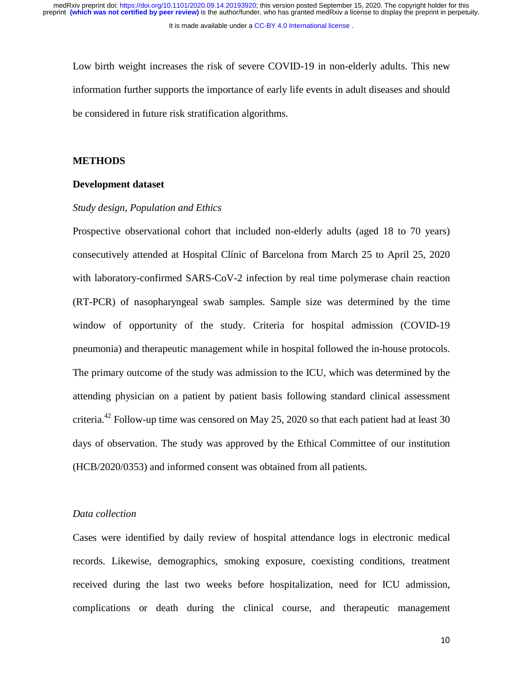Low birth weight increases the risk of severe COVID-19 in non-elderly adults. This new information further supports the importance of early life events in adult diseases and should be considered in future risk stratification algorithms.

#### **METHODS**

#### **Development dataset**

#### *Study design, Population and Ethics*

Prospective observational cohort that included non-elderly adults (aged 18 to 70 years) consecutively attended at Hospital Clínic of Barcelona from March 25 to April 25, 2020 with laboratory-confirmed SARS-CoV-2 infection by real time polymerase chain reaction (RT-PCR) of nasopharyngeal swab samples. Sample size was determined by the time window of opportunity of the study. Criteria for hospital admission (COVID-19 pneumonia) and therapeutic management while in hospital followed the in-house protocols. The primary outcome of the study was admission to the ICU, which was determined by the attending physician on a patient by patient basis following standard clinical assessment criteria.<sup>42</sup> Follow-up time was censored on May 25, 2020 so that each patient had at least 30 days of observation. The study was approved by the Ethical Committee of our institution (HCB/2020/0353) and informed consent was obtained from all patients.

#### *Data collection*

Cases were identified by daily review of hospital attendance logs in electronic medical records. Likewise, demographics, smoking exposure, coexisting conditions, treatment received during the last two weeks before hospitalization, need for ICU admission, complications or death during the clinical course, and therapeutic management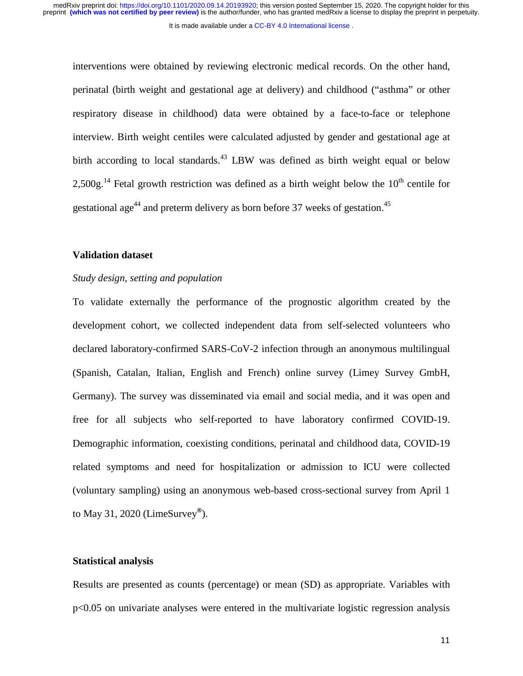interventions were obtained by reviewing electronic medical records. On the other hand, perinatal (birth weight and gestational age at delivery) and childhood ("asthma" or other respiratory disease in childhood) data were obtained by a face-to-face or telephone interview. Birth weight centiles were calculated adjusted by gender and gestational age at birth according to local standards.<sup>43</sup> LBW was defined as birth weight equal or below  $2.500g<sup>14</sup>$  Fetal growth restriction was defined as a birth weight below the 10<sup>th</sup> centile for gestational age<sup>44</sup> and preterm delivery as born before 37 weeks of gestation.<sup>45</sup>

#### **Validation dataset**

#### *Study design, setting and population*

To validate externally the performance of the prognostic algorithm created by the development cohort, we collected independent data from self-selected volunteers who declared laboratory-confirmed SARS-CoV-2 infection through an anonymous multilingual (Spanish, Catalan, Italian, English and French) online survey (Limey Survey GmbH, Germany). The survey was disseminated via email and social media, and it was open and free for all subjects who self-reported to have laboratory confirmed COVID-19. Demographic information, coexisting conditions, perinatal and childhood data, COVID-19 related symptoms and need for hospitalization or admission to ICU were collected (voluntary sampling) using an anonymous web-based cross-sectional survey from April 1 to May 31, 2020 (LimeSurvey**®**).

### **Statistical analysis**

Results are presented as counts (percentage) or mean (SD) as appropriate. Variables with p<0.05 on univariate analyses were entered in the multivariate logistic regression analysis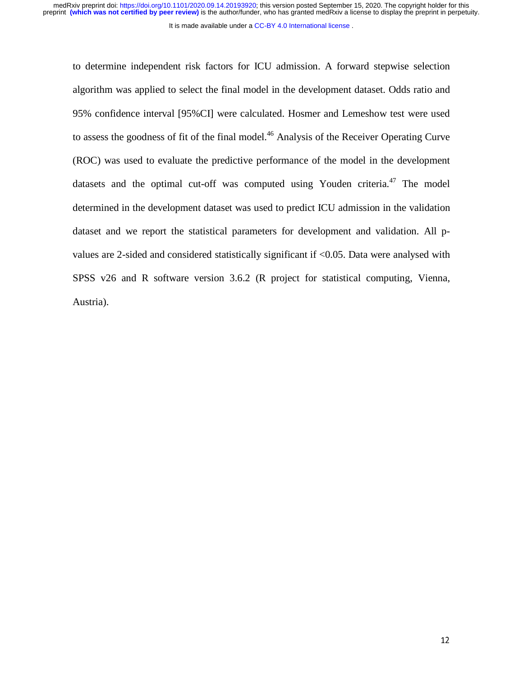It is made available under a CC-BY 4.0 International license.

to determine independent risk factors for ICU admission. A forward stepwise selection algorithm was applied to select the final model in the development dataset. Odds ratio and 95% confidence interval [95%CI] were calculated. Hosmer and Lemeshow test were used to assess the goodness of fit of the final model.<sup>46</sup> Analysis of the Receiver Operating Curve (ROC) was used to evaluate the predictive performance of the model in the development datasets and the optimal cut-off was computed using Youden criteria.<sup> $47$ </sup> The model determined in the development dataset was used to predict ICU admission in the validation dataset and we report the statistical parameters for development and validation. All pvalues are 2-sided and considered statistically significant if <0.05. Data were analysed with SPSS v26 and R software version 3.6.2 (R project for statistical computing, Vienna, Austria).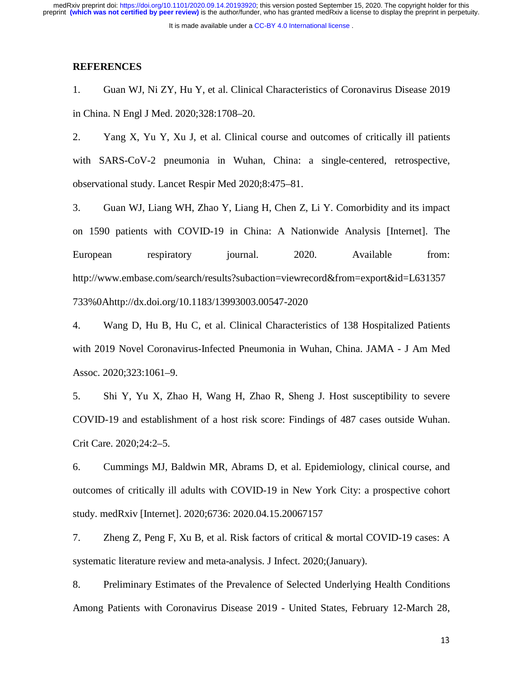#### **REFERENCES**

1. Guan WJ, Ni ZY, Hu Y, et al. Clinical Characteristics of Coronavirus Disease 2019 in China. N Engl J Med. 2020;328:1708–20.

2. Yang X, Yu Y, Xu J, et al. Clinical course and outcomes of critically ill patients with SARS-CoV-2 pneumonia in Wuhan, China: a single-centered, retrospective, observational study. Lancet Respir Med 2020;8:475–81.

3. Guan WJ, Liang WH, Zhao Y, Liang H, Chen Z, Li Y. Comorbidity and its impact on 1590 patients with COVID-19 in China: A Nationwide Analysis [Internet]. The European respiratory journal. 2020. Available from: http://www.embase.com/search/results?subaction=viewrecord&from=export&id=L631357 733%0Ahttp://dx.doi.org/10.1183/13993003.00547-2020

4. Wang D, Hu B, Hu C, et al. Clinical Characteristics of 138 Hospitalized Patients with 2019 Novel Coronavirus-Infected Pneumonia in Wuhan, China. JAMA - J Am Med Assoc. 2020;323:1061–9.

5. Shi Y, Yu X, Zhao H, Wang H, Zhao R, Sheng J. Host susceptibility to severe COVID-19 and establishment of a host risk score: Findings of 487 cases outside Wuhan. Crit Care. 2020;24:2–5.

6. Cummings MJ, Baldwin MR, Abrams D, et al. Epidemiology, clinical course, and outcomes of critically ill adults with COVID-19 in New York City: a prospective cohort study. medRxiv [Internet]. 2020;6736: 2020.04.15.20067157

7. Zheng Z, Peng F, Xu B, et al. Risk factors of critical & mortal COVID-19 cases: A systematic literature review and meta-analysis. J Infect. 2020;(January).

8. Preliminary Estimates of the Prevalence of Selected Underlying Health Conditions Among Patients with Coronavirus Disease 2019 - United States, February 12-March 28,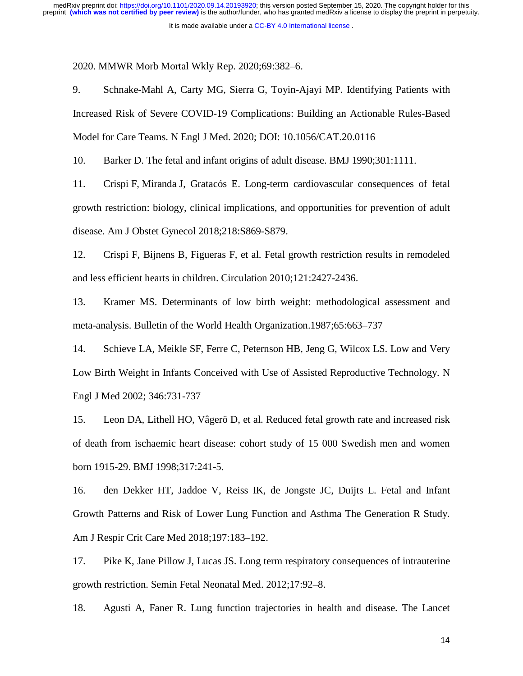2020. MMWR Morb Mortal Wkly Rep. 2020;69:382–6.

9. Schnake-Mahl A, Carty MG, Sierra G, Toyin-Ajayi MP. Identifying Patients with Increased Risk of Severe COVID-19 Complications: Building an Actionable Rules-Based Model for Care Teams. N Engl J Med. 2020; DOI: 10.1056/CAT.20.0116

10. Barker D. The fetal and infant origins of adult disease. BMJ 1990;301:1111.

11. Crispi F, Miranda J, Gratacós E. Long-term cardiovascular consequences of fetal growth restriction: biology, clinical implications, and opportunities for prevention of adult disease. Am J Obstet Gynecol 2018;218:S869-S879.

12. Crispi F, Bijnens B, Figueras F, et al. Fetal growth restriction results in remodeled and less efficient hearts in children. Circulation 2010;121:2427-2436.

13. Kramer MS. Determinants of low birth weight: methodological assessment and meta-analysis. Bulletin of the World Health Organization.1987;65:663–737

14. Schieve LA, Meikle SF, Ferre C, Peternson HB, Jeng G, Wilcox LS. Low and Very Low Birth Weight in Infants Conceived with Use of Assisted Reproductive Technology. N Engl J Med 2002; 346:731-737

15. Leon DA, Lithell HO, Vâgerö D, et al. Reduced fetal growth rate and increased risk of death from ischaemic heart disease: cohort study of 15 000 Swedish men and women born 1915-29. BMJ 1998;317:241-5.

16. den Dekker HT, Jaddoe V, Reiss IK, de Jongste JC, Duijts L. Fetal and Infant Growth Patterns and Risk of Lower Lung Function and Asthma The Generation R Study. Am J Respir Crit Care Med 2018;197:183–192.

17. Pike K, Jane Pillow J, Lucas JS. Long term respiratory consequences of intrauterine growth restriction. Semin Fetal Neonatal Med. 2012;17:92–8.

18. Agusti A, Faner R. Lung function trajectories in health and disease. The Lancet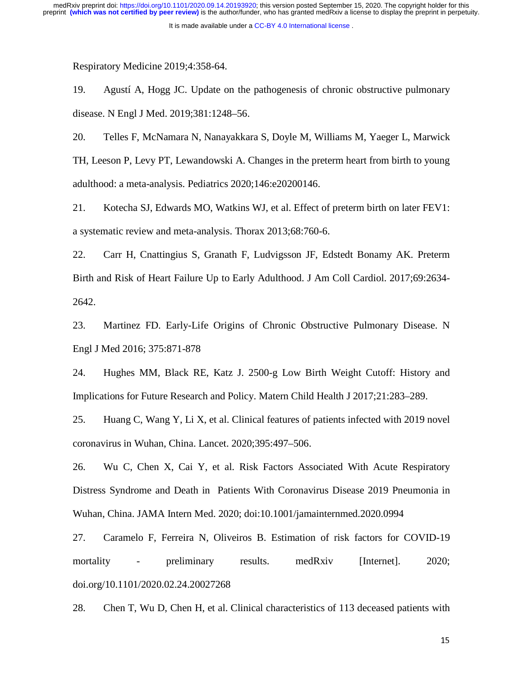Respiratory Medicine 2019;4:358-64.

19. Agustí A, Hogg JC. Update on the pathogenesis of chronic obstructive pulmonary disease. N Engl J Med. 2019;381:1248–56.

20. Telles F, McNamara N, Nanayakkara S, Doyle M, Williams M, Yaeger L, Marwick TH, Leeson P, Levy PT, Lewandowski A. Changes in the preterm heart from birth to young adulthood: a meta-analysis. Pediatrics 2020;146:e20200146.

21. Kotecha SJ, Edwards MO, Watkins WJ, et al. Effect of preterm birth on later FEV1: a systematic review and meta-analysis. Thorax 2013;68:760-6.

22. Carr H, Cnattingius S, Granath F, Ludvigsson JF, Edstedt Bonamy AK. Preterm Birth and Risk of Heart Failure Up to Early Adulthood. J Am Coll Cardiol. 2017;69:2634- 2642.

23. Martinez FD. Early-Life Origins of Chronic Obstructive Pulmonary Disease. N Engl J Med 2016; 375:871-878

24. Hughes MM, Black RE, Katz J. 2500-g Low Birth Weight Cutoff: History and Implications for Future Research and Policy. Matern Child Health J 2017;21:283–289.

25. Huang C, Wang Y, Li X, et al. Clinical features of patients infected with 2019 novel coronavirus in Wuhan, China. Lancet. 2020;395:497–506.

26. Wu C, Chen X, Cai Y, et al. Risk Factors Associated With Acute Respiratory Distress Syndrome and Death in Patients With Coronavirus Disease 2019 Pneumonia in Wuhan, China. JAMA Intern Med. 2020; doi:10.1001/jamainternmed.2020.0994

27. Caramelo F, Ferreira N, Oliveiros B. Estimation of risk factors for COVID-19 mortality - preliminary results. medRxiv [Internet]. 2020; doi.org/10.1101/2020.02.24.20027268

28. Chen T, Wu D, Chen H, et al. Clinical characteristics of 113 deceased patients with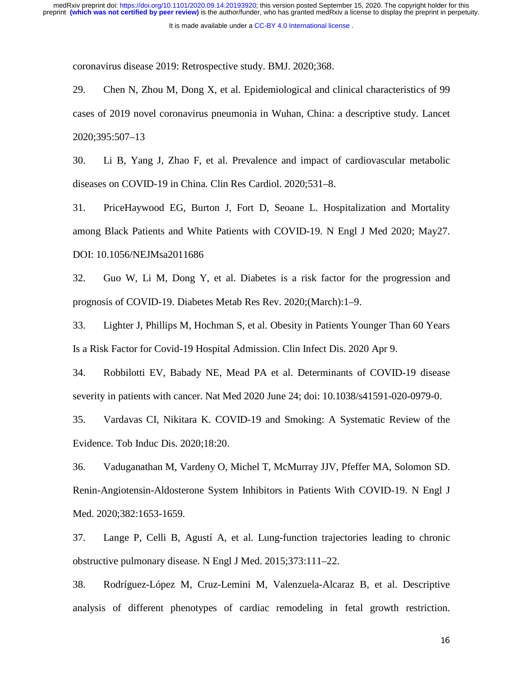coronavirus disease 2019: Retrospective study. BMJ. 2020;368.

29. Chen N, Zhou M, Dong X, et al. Epidemiological and clinical characteristics of 99 cases of 2019 novel coronavirus pneumonia in Wuhan, China: a descriptive study. Lancet 2020;395:507–13

30. Li B, Yang J, Zhao F, et al. Prevalence and impact of cardiovascular metabolic diseases on COVID-19 in China. Clin Res Cardiol. 2020;531–8.

31. PriceHaywood EG, Burton J, Fort D, Seoane L. Hospitalization and Mortality among Black Patients and White Patients with COVID-19. N Engl J Med 2020; May27. DOI: 10.1056/NEJMsa2011686

32. Guo W, Li M, Dong Y, et al. Diabetes is a risk factor for the progression and prognosis of COVID-19. Diabetes Metab Res Rev. 2020;(March):1–9.

33. Lighter J, Phillips M, Hochman S, et al. Obesity in Patients Younger Than 60 Years Is a Risk Factor for Covid-19 Hospital Admission. Clin Infect Dis. 2020 Apr 9.

34. Robbilotti EV, Babady NE, Mead PA et al. Determinants of COVID-19 disease severity in patients with cancer. Nat Med 2020 June 24; doi: 10.1038/s41591-020-0979-0.

35. Vardavas CI, Nikitara K. COVID-19 and Smoking: A Systematic Review of the Evidence. Tob Induc Dis. 2020;18:20.

36. Vaduganathan M, Vardeny O, Michel T, McMurray JJV, Pfeffer MA, Solomon SD. Renin-Angiotensin-Aldosterone System Inhibitors in Patients With COVID-19. N Engl J Med. 2020;382:1653-1659.

37. Lange P, Celli B, Agustí A, et al. Lung-function trajectories leading to chronic obstructive pulmonary disease. N Engl J Med. 2015;373:111–22.

38. Rodríguez-López M, Cruz-Lemini M, Valenzuela-Alcaraz B, et al. Descriptive analysis of different phenotypes of cardiac remodeling in fetal growth restriction.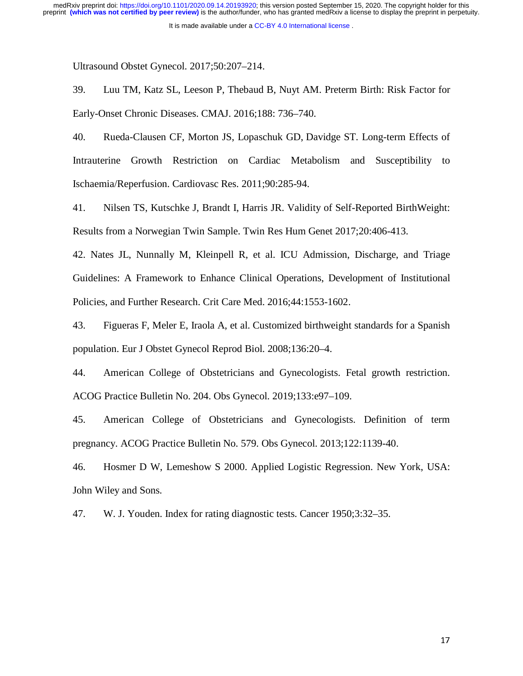Ultrasound Obstet Gynecol. 2017;50:207–214.

39. Luu TM, Katz SL, Leeson P, Thebaud B, Nuyt AM. Preterm Birth: Risk Factor for Early-Onset Chronic Diseases. CMAJ. 2016;188: 736–740.

40. Rueda-Clausen CF, Morton JS, Lopaschuk GD, Davidge ST. Long-term Effects of Intrauterine Growth Restriction on Cardiac Metabolism and Susceptibility to Ischaemia/Reperfusion. Cardiovasc Res. 2011;90:285-94.

41. Nilsen TS, Kutschke J, Brandt I, Harris JR. Validity of Self-Reported BirthWeight: Results from a Norwegian Twin Sample. Twin Res Hum Genet 2017;20:406-413.

42. Nates JL, Nunnally M, Kleinpell R, et al. ICU Admission, Discharge, and Triage Guidelines: A Framework to Enhance Clinical Operations, Development of Institutional Policies, and Further Research. Crit Care Med. 2016;44:1553-1602.

43. Figueras F, Meler E, Iraola A, et al. Customized birthweight standards for a Spanish population. Eur J Obstet Gynecol Reprod Biol. 2008;136:20–4.

44. American College of Obstetricians and Gynecologists. Fetal growth restriction. ACOG Practice Bulletin No. 204. Obs Gynecol. 2019;133:e97–109.

45. American College of Obstetricians and Gynecologists. Definition of term pregnancy. ACOG Practice Bulletin No. 579. Obs Gynecol. 2013;122:1139-40.

46. Hosmer D W, Lemeshow S 2000. Applied Logistic Regression. New York, USA: John Wiley and Sons.

47. W. J. Youden. Index for rating diagnostic tests. Cancer 1950;3:32–35.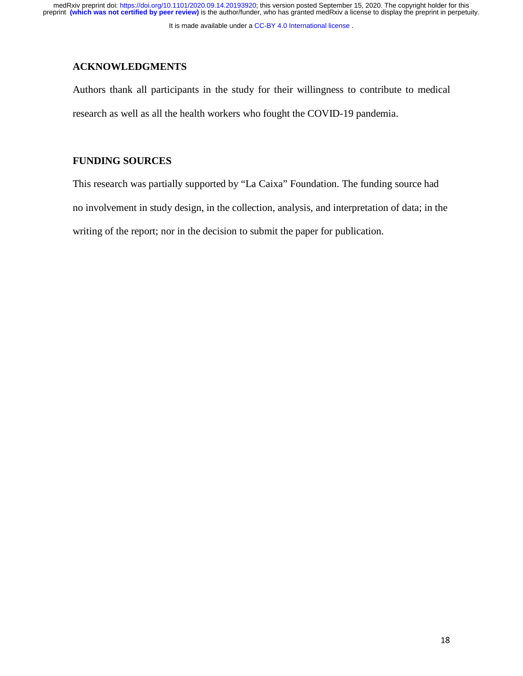It is made available under a CC-BY 4.0 International license.

# **ACKNOWLEDGMENTS**

Authors thank all participants in the study for their willingness to contribute to medical research as well as all the health workers who fought the COVID-19 pandemia.

# **FUNDING SOURCES**

This research was partially supported by "La Caixa" Foundation. The funding source had no involvement in study design, in the collection, analysis, and interpretation of data; in the writing of the report; nor in the decision to submit the paper for publication.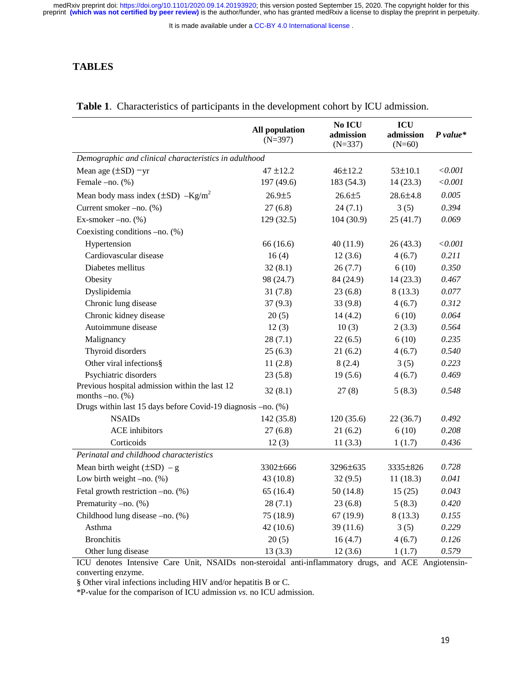It is made available under a CC-BY 4.0 International license.

### **TABLES**

|                                                                     | <b>All population</b><br>$(N=397)$ | No ICU<br>admission<br>$(N=337)$ | ICU<br>admission<br>$(N=60)$ | $P$ value*   |  |
|---------------------------------------------------------------------|------------------------------------|----------------------------------|------------------------------|--------------|--|
| Demographic and clinical characteristics in adulthood               |                                    |                                  |                              |              |  |
| Mean age $(\pm SD)$ -yr                                             | $47 + 12.2$                        | $46 + 12.2$                      | $53 \pm 10.1$                | < 0.001      |  |
| Female -no. (%)                                                     | 197 (49.6)                         | 183 (54.3)                       | 14(23.3)                     | $<\!\!0.001$ |  |
| Mean body mass index $(\pm SD)$ -Kg/m <sup>2</sup>                  | $26.9 + 5$                         | $26.6 + 5$                       | $28.6 \pm 4.8$               | 0.005        |  |
| Current smoker -no. (%)                                             | 27(6.8)                            | 24(7.1)                          | 3(5)                         | 0.394        |  |
| Ex-smoker $-no.$ $%$                                                | 129(32.5)                          | 104 (30.9)                       | 25(41.7)                     | 0.069        |  |
| Coexisting conditions $-no.$ (%)                                    |                                    |                                  |                              |              |  |
| Hypertension                                                        | 66 (16.6)                          | 40 (11.9)                        | 26(43.3)                     | < 0.001      |  |
| Cardiovascular disease                                              | 16(4)                              | 12(3.6)                          | 4(6.7)                       | 0.211        |  |
| Diabetes mellitus                                                   | 32(8.1)                            | 26(7.7)                          | 6(10)                        | 0.350        |  |
| Obesity                                                             | 98 (24.7)                          | 84 (24.9)                        | 14(23.3)                     | 0.467        |  |
| Dyslipidemia                                                        | 31(7.8)                            | 23(6.8)                          | 8(13.3)                      | 0.077        |  |
| Chronic lung disease                                                | 37(9.3)                            | 33(9.8)                          | 4(6.7)                       | 0.312        |  |
| Chronic kidney disease                                              | 20(5)                              | 14(4.2)                          | 6(10)                        | 0.064        |  |
| Autoimmune disease                                                  | 12(3)                              | 10(3)                            | 2(3.3)                       | 0.564        |  |
| Malignancy                                                          | 28(7.1)                            | 22(6.5)                          | 6(10)                        | 0.235        |  |
| Thyroid disorders                                                   | 25(6.3)                            | 21(6.2)                          | 4(6.7)                       | 0.540        |  |
| Other viral infections§                                             | 11(2.8)                            | 8(2.4)                           | 3(5)                         | 0.223        |  |
| Psychiatric disorders                                               | 23(5.8)                            | 19(5.6)                          | 4(6.7)                       | 0.469        |  |
| Previous hospital admission within the last 12<br>months $-no.$ (%) | 32(8.1)                            | 27(8)                            | 5(8.3)                       | 0.548        |  |
| Drugs within last 15 days before Covid-19 diagnosis -no. (%)        |                                    |                                  |                              |              |  |
| <b>NSAIDs</b>                                                       | 142 (35.8)                         | 120(35.6)                        | 22(36.7)                     | 0.492        |  |
| <b>ACE</b> inhibitors                                               | 27(6.8)                            | 21(6.2)                          | 6(10)                        | 0.208        |  |
| Corticoids                                                          | 12(3)                              | 11(3.3)                          | 1(1.7)                       | 0.436        |  |
| Perinatal and childhood characteristics                             |                                    |                                  |                              |              |  |
| Mean birth weight $(\pm SD) - g$                                    | $3302 \pm 666$                     | 3296±635                         | 3335±826                     | 0.728        |  |
| Low birth weight $-no.$ $%$                                         | 43(10.8)                           | 32(9.5)                          | 11(18.3)                     | 0.041        |  |
| Fetal growth restriction -no. (%)                                   | 65(16.4)                           | 50(14.8)                         | 15(25)                       | 0.043        |  |
| Prematurity -no. (%)                                                | 28(7.1)                            | 23(6.8)                          | 5(8.3)                       | 0.420        |  |
| Childhood lung disease -no. (%)                                     | 75(18.9)                           | 67(19.9)                         | 8(13.3)                      | 0.155        |  |
| Asthma                                                              | 42(10.6)                           | 39(11.6)                         | 3(5)                         | 0.229        |  |
| <b>Bronchitis</b>                                                   | 20(5)                              | 16(4.7)                          | 4(6.7)                       | 0.126        |  |
| Other lung disease                                                  | 13(3.3)                            | 12(3.6)                          | 1(1.7)                       | 0.579        |  |

#### **Table 1**. Characteristics of participants in the development cohort by ICU admission.

ICU denotes Intensive Care Unit, NSAIDs non-steroidal anti-inflammatory drugs, and ACE Angiotensinconverting enzyme.

§ Other viral infections including HIV and/or hepatitis B or C.

\*P-value for the comparison of ICU admission *vs.* no ICU admission.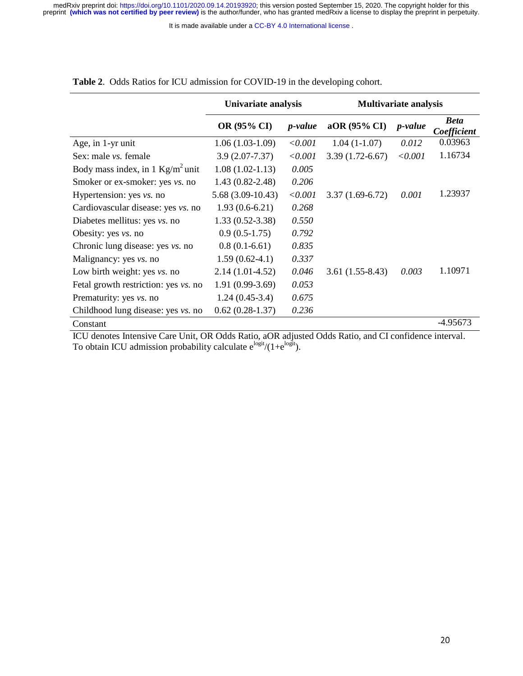It is made available under a CC-BY 4.0 International license.

|                                           | Univariate analysis |                 | <b>Multivariate analysis</b> |                 |                            |
|-------------------------------------------|---------------------|-----------------|------------------------------|-----------------|----------------------------|
|                                           | <b>OR (95% CI)</b>  | <i>p</i> -value | aOR (95% CI)                 | <i>p</i> -value | <b>Beta</b><br>Coefficient |
| Age, in 1-yr unit                         | $1.06(1.03-1.09)$   | ${<}0.001$      | $1.04(1-1.07)$               | 0.012           | 0.03963                    |
| Sex: male vs. female                      | $3.9(2.07 - 7.37)$  | < 0.001         | $3.39(1.72-6.67)$            | < 0.001         | 1.16734                    |
| Body mass index, in 1 $Kg/m^2$ unit       | $1.08(1.02-1.13)$   | 0.005           |                              |                 |                            |
| Smoker or ex-smoker: yes vs. no           | $1.43(0.82 - 2.48)$ | 0.206           |                              |                 |                            |
| Hypertension: yes vs. no                  | $5.68(3.09-10.43)$  | < 0.001         | $3.37(1.69-6.72)$            | 0.001           | 1.23937                    |
| Cardiovascular disease: yes vs. no        | $1.93(0.6-6.21)$    | 0.268           |                              |                 |                            |
| Diabetes mellitus: yes vs. no             | $1.33(0.52 - 3.38)$ | 0.550           |                              |                 |                            |
| Obesity: yes vs. no                       | $0.9(0.5-1.75)$     | 0.792           |                              |                 |                            |
| Chronic lung disease: yes vs. no          | $0.8(0.1-6.61)$     | 0.835           |                              |                 |                            |
| Malignancy: yes <i>vs.</i> no             | $1.59(0.62-4.1)$    | 0.337           |                              |                 |                            |
| Low birth weight: yes <i>vs.</i> no       | $2.14(1.01-4.52)$   | 0.046           | $3.61(1.55-8.43)$            | 0.003           | 1.10971                    |
| Fetal growth restriction: yes vs. no      | $1.91(0.99-3.69)$   | 0.053           |                              |                 |                            |
| Prematurity: yes vs. no                   | $1.24(0.45-3.4)$    | 0.675           |                              |                 |                            |
| Childhood lung disease: yes <i>vs.</i> no | $0.62(0.28-1.37)$   | 0.236           |                              |                 |                            |
| Constant                                  |                     |                 |                              |                 | -4.95673                   |

**Table 2**. Odds Ratios for ICU admission for COVID-19 in the developing cohort.

ICU denotes Intensive Care Unit, OR Odds Ratio, aOR adjusted Odds Ratio, and CI confidence interval. To obtain ICU admission probability calculate  $e^{logit}/(1+e^{logit})$ .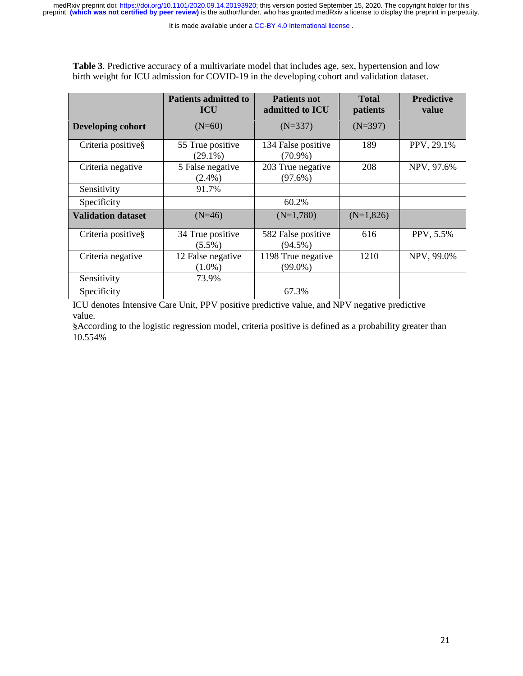It is made available under a CC-BY 4.0 International license.

**Table 3**. Predictive accuracy of a multivariate model that includes age, sex, hypertension and low birth weight for ICU admission for COVID-19 in the developing cohort and validation dataset.

|                           | <b>Patients admitted to</b><br><b>ICU</b> | <b>Patients not</b><br>admitted to ICU | <b>Total</b><br>patients | <b>Predictive</b><br>value |
|---------------------------|-------------------------------------------|----------------------------------------|--------------------------|----------------------------|
| Developing cohort         | $(N=60)$                                  | $(N=337)$                              | $(N=397)$                |                            |
| Criteria positive§        | 55 True positive<br>$(29.1\%)$            | 134 False positive<br>$(70.9\%)$       | 189                      | PPV, 29.1%                 |
| Criteria negative         | 5 False negative<br>$(2.4\%)$             | 203 True negative<br>$(97.6\%)$        | 208                      | NPV, 97.6%                 |
| Sensitivity               | 91.7%                                     |                                        |                          |                            |
| Specificity               |                                           | 60.2%                                  |                          |                            |
| <b>Validation dataset</b> | $(N=46)$                                  | $(N=1,780)$                            | $(N=1,826)$              |                            |
| Criteria positive§        | 34 True positive<br>$(5.5\%)$             | 582 False positive<br>$(94.5\%)$       | 616                      | PPV, 5.5%                  |
| Criteria negative         | 12 False negative<br>$(1.0\%)$            | 1198 True negative<br>$(99.0\%)$       | 1210                     | NPV, 99.0%                 |
| Sensitivity               | 73.9%                                     |                                        |                          |                            |
| Specificity               |                                           | 67.3%                                  |                          |                            |

ICU denotes Intensive Care Unit, PPV positive predictive value, and NPV negative predictive value.

§According to the logistic regression model, criteria positive is defined as a probability greater than 10.554%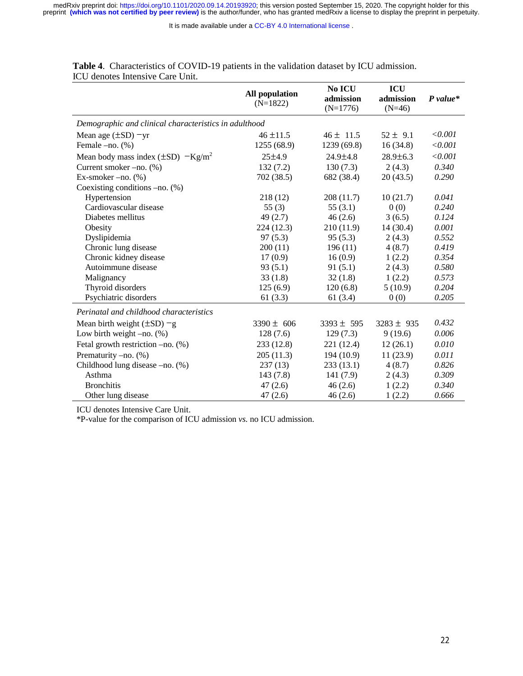It is made available under a CC-BY 4.0 International license.

|                                                       | <b>All population</b><br>$(N=1822)$ | No ICU<br>admission<br>$(N=1776)$ | ICU<br>admission<br>$(N=46)$ | $P value*$ |  |
|-------------------------------------------------------|-------------------------------------|-----------------------------------|------------------------------|------------|--|
| Demographic and clinical characteristics in adulthood |                                     |                                   |                              |            |  |
| Mean age $(\pm SD)$ -yr                               | $46 \pm 11.5$                       | $46 \pm 11.5$                     | $52 \pm 9.1$                 | < 0.001    |  |
| Female -no. (%)                                       | 1255 (68.9)                         | 1239 (69.8)                       | 16(34.8)                     | < 0.001    |  |
| Mean body mass index $(\pm SD)$ -Kg/m <sup>2</sup>    | $25 + 4.9$                          | $24.9 \pm 4.8$                    | $28.9 \pm 6.3$               | < 0.001    |  |
| Current smoker -no. (%)                               | 132(7.2)                            | 130(7.3)                          | 2(4.3)                       | 0.340      |  |
| Ex-smoker $-no.$ $%$                                  | 702 (38.5)                          | 682 (38.4)                        | 20(43.5)                     | 0.290      |  |
| Coexisting conditions $-no.$ (%)                      |                                     |                                   |                              |            |  |
| Hypertension                                          | 218 (12)                            | 208 (11.7)                        | 10(21.7)                     | 0.041      |  |
| Cardiovascular disease                                | 55 $(3)$                            | 55 $(3.1)$                        | 0(0)                         | 0.240      |  |
| Diabetes mellitus                                     | 49(2.7)                             | 46(2.6)                           | 3(6.5)                       | 0.124      |  |
| Obesity                                               | 224(12.3)                           | 210 (11.9)                        | 14(30.4)                     | 0.001      |  |
| Dyslipidemia                                          | 97(5.3)                             | 95(5.3)                           | 2(4.3)                       | 0.552      |  |
| Chronic lung disease                                  | 200(11)                             | 196(11)                           | 4(8.7)                       | 0.419      |  |
| Chronic kidney disease                                | 17(0.9)                             | 16(0.9)                           | 1(2.2)                       | 0.354      |  |
| Autoimmune disease                                    | 93(5.1)                             | 91(5.1)                           | 2(4.3)                       | 0.580      |  |
| Malignancy                                            | 33(1.8)                             | 32(1.8)                           | 1(2.2)                       | 0.573      |  |
| Thyroid disorders                                     | 125(6.9)                            | 120(6.8)                          | 5(10.9)                      | 0.204      |  |
| Psychiatric disorders                                 | 61(3.3)                             | 61(3.4)                           | 0(0)                         | 0.205      |  |
| Perinatal and childhood characteristics               |                                     |                                   |                              |            |  |
| Mean birth weight $(\pm SD) - g$                      | $3390 \pm 606$                      | $3393 \pm 595$                    | $3283 \pm 935$               | 0.432      |  |
| Low birth weight $-no.$ (%)                           | 128(7.6)                            | 129(7.3)                          | 9(19.6)                      | 0.006      |  |
| Fetal growth restriction $-no.$ (%)                   | 233 (12.8)                          | 221 (12.4)                        | 12(26.1)                     | 0.010      |  |
| Prematurity -no. (%)                                  | 205(11.3)                           | 194 (10.9)                        | 11(23.9)                     | 0.011      |  |
| Childhood lung disease -no. (%)                       | 237(13)                             | 233(13.1)                         | 4(8.7)                       | 0.826      |  |
| Asthma                                                | 143(7.8)                            | 141(7.9)                          | 2(4.3)                       | 0.309      |  |
| <b>Bronchitis</b>                                     | 47(2.6)                             | 46(2.6)                           | 1(2.2)                       | 0.340      |  |
| Other lung disease                                    | 47(2.6)                             | 46(2.6)                           | 1(2.2)                       | 0.666      |  |

| <b>Table 4.</b> Characteristics of COVID-19 patients in the validation dataset by ICU admission. |  |
|--------------------------------------------------------------------------------------------------|--|
| ICU denotes Intensive Care Unit.                                                                 |  |

ICU denotes Intensive Care Unit.

\*P-value for the comparison of ICU admission *vs.* no ICU admission.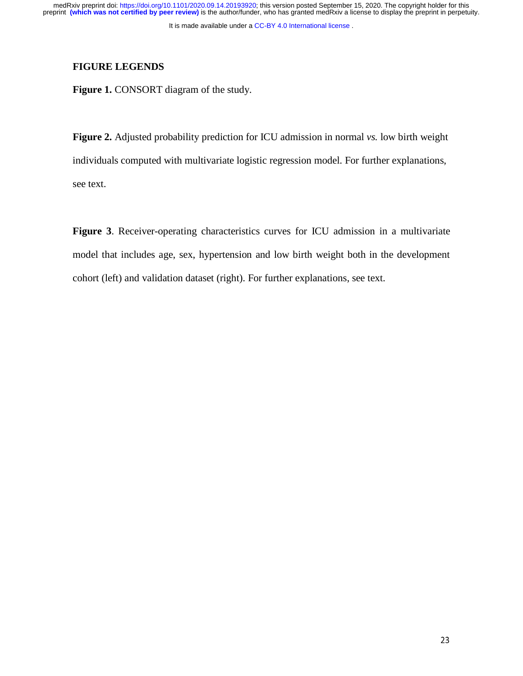# **FIGURE LEGENDS**

**Figure 1. CONSORT** diagram of the study.

**Figure 2.** Adjusted probability prediction for ICU admission in normal *vs.* low birth weight individuals computed with multivariate logistic regression model. For further explanations, see text.

**Figure 3**. Receiver-operating characteristics curves for ICU admission in a multivariate model that includes age, sex, hypertension and low birth weight both in the development cohort (left) and validation dataset (right). For further explanations, see text.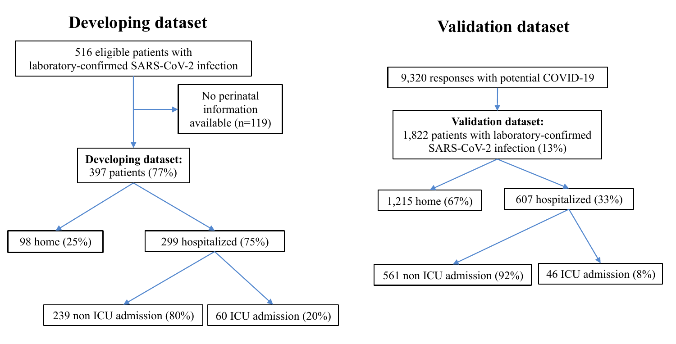# **Developing dataset Validation dataset**

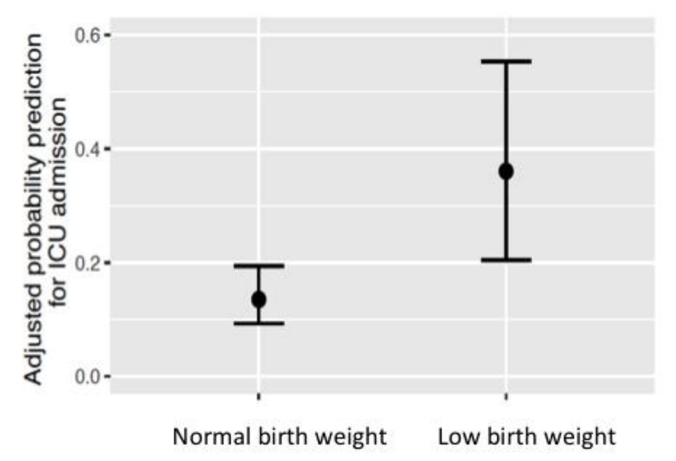

Normal birth weight

Low birth weight